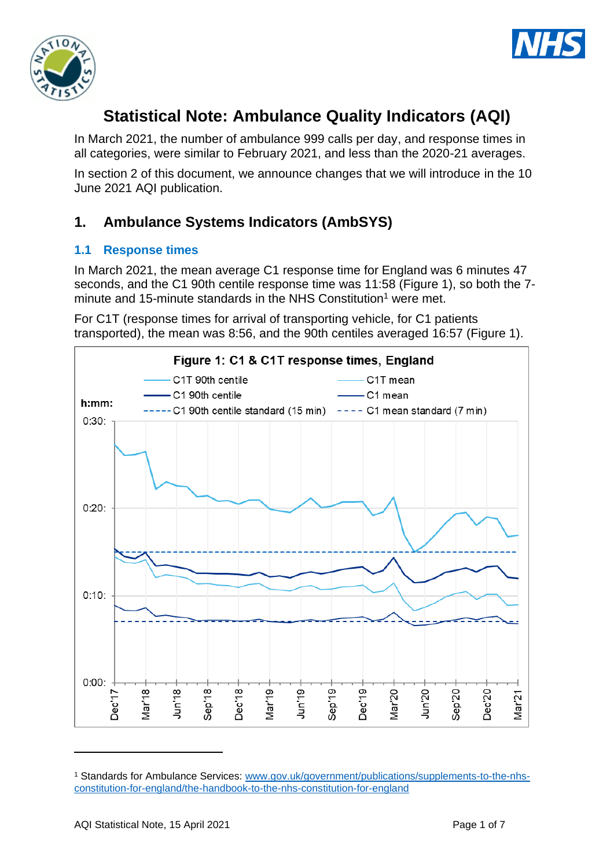



# **Statistical Note: Ambulance Quality Indicators (AQI)**

In March 2021, the number of ambulance 999 calls per day, and response times in all categories, were similar to February 2021, and less than the 2020-21 averages.

In section 2 of this document, we announce changes that we will introduce in the 10 June 2021 AQI publication.

## **1. Ambulance Systems Indicators (AmbSYS)**

## **1.1 Response times**

In March 2021, the mean average C1 response time for England was 6 minutes 47 seconds, and the C1 90th centile response time was 11:58 (Figure 1), so both the 7 minute and 15-minute standards in the NHS Constitution<sup>1</sup> were met.

For C1T (response times for arrival of transporting vehicle, for C1 patients transported), the mean was 8:56, and the 90th centiles averaged 16:57 (Figure 1).



<sup>1</sup> Standards for Ambulance Services: www.gov.uk/government/publications/supplements-to-the-nhsconstitution-for-england/the-handbook-to-the-nhs-constitution-for-england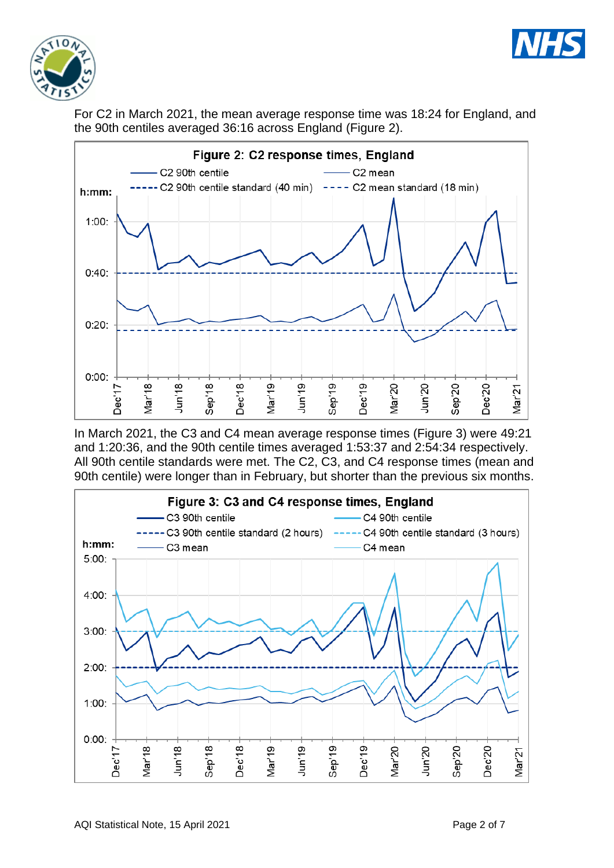



For C2 in March 2021, the mean average response time was 18:24 for England, and the 90th centiles averaged 36:16 across England (Figure 2).



In March 2021, the C3 and C4 mean average response times (Figure 3) were 49:21 and 1:20:36, and the 90th centile times averaged 1:53:37 and 2:54:34 respectively. All 90th centile standards were met. The C2, C3, and C4 response times (mean and 90th centile) were longer than in February, but shorter than the previous six months.

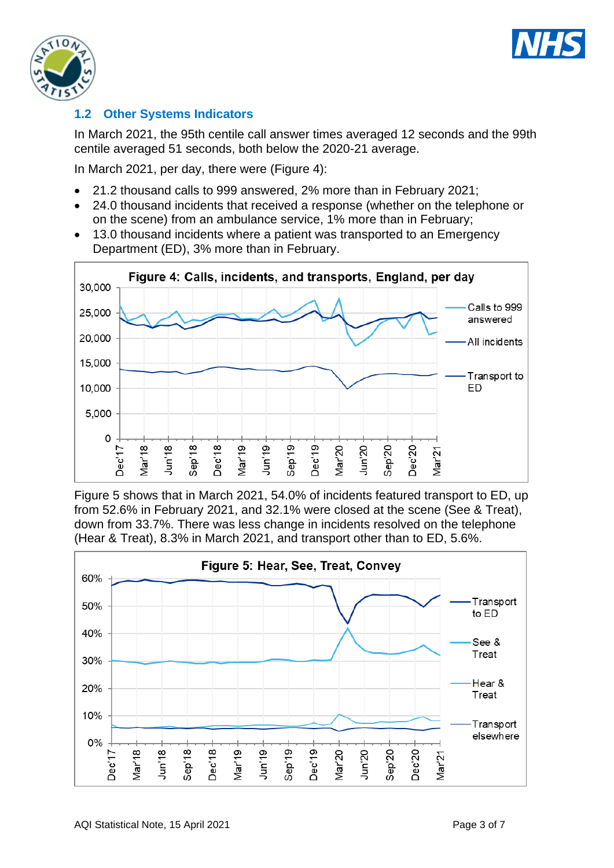



## **1.2 Other Systems Indicators**

In March 2021, the 95th centile call answer times averaged 12 seconds and the 99th centile averaged 51 seconds, both below the 2020-21 average.

In March 2021, per day, there were (Figure 4):

- 21.2 thousand calls to 999 answered, 2% more than in February 2021;
- 24.0 thousand incidents that received a response (whether on the telephone or on the scene) from an ambulance service, 1% more than in February;
- 13.0 thousand incidents where a patient was transported to an Emergency Department (ED), 3% more than in February.



Figure 5 shows that in March 2021, 54.0% of incidents featured transport to ED, up from 52.6% in February 2021, and 32.1% were closed at the scene (See & Treat), down from 33.7%. There was less change in incidents resolved on the telephone (Hear & Treat), 8.3% in March 2021, and transport other than to ED, 5.6%.

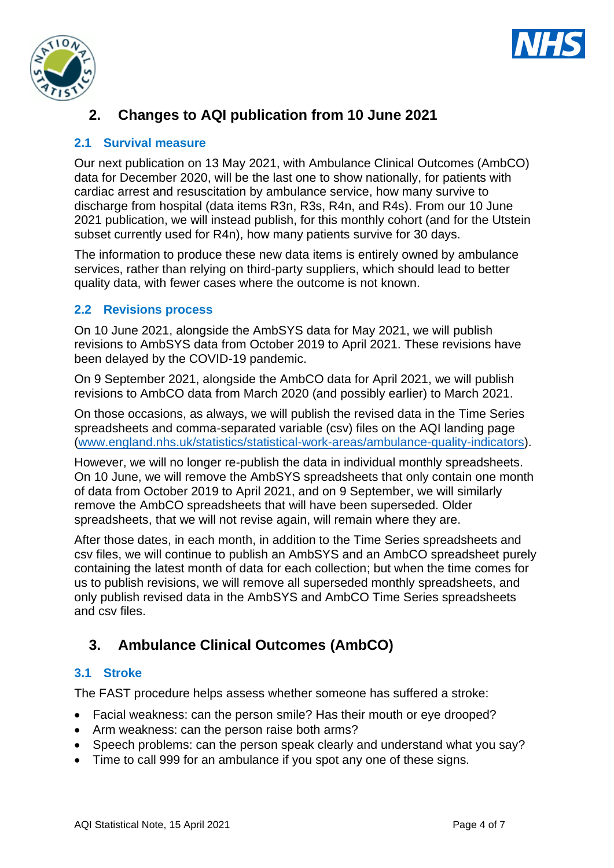



## **2. Changes to AQI publication from 10 June 2021**

#### **2.1 Survival measure**

Our next publication on 13 May 2021, with Ambulance Clinical Outcomes (AmbCO) data for December 2020, will be the last one to show nationally, for patients with cardiac arrest and resuscitation by ambulance service, how many survive to discharge from hospital (data items R3n, R3s, R4n, and R4s). From our 10 June 2021 publication, we will instead publish, for this monthly cohort (and for the Utstein subset currently used for R4n), how many patients survive for 30 days.

The information to produce these new data items is entirely owned by ambulance services, rather than relying on third-party suppliers, which should lead to better quality data, with fewer cases where the outcome is not known.

#### **2.2 Revisions process**

On 10 June 2021, alongside the AmbSYS data for May 2021, we will publish revisions to AmbSYS data from October 2019 to April 2021. These revisions have been delayed by the COVID-19 pandemic.

On 9 September 2021, alongside the AmbCO data for April 2021, we will publish revisions to AmbCO data from March 2020 (and possibly earlier) to March 2021.

On those occasions, as always, we will publish the revised data in the Time Series spreadsheets and comma-separated variable (csv) files on the AQI landing page [\(www.england.nhs.uk/statistics/statistical-work-areas/ambulance-quality-indicators\)](http://www.england.nhs.uk/statistics/statistical-work-areas/ambulance-quality-indicators).

However, we will no longer re-publish the data in individual monthly spreadsheets. On 10 June, we will remove the AmbSYS spreadsheets that only contain one month of data from October 2019 to April 2021, and on 9 September, we will similarly remove the AmbCO spreadsheets that will have been superseded. Older spreadsheets, that we will not revise again, will remain where they are.

After those dates, in each month, in addition to the Time Series spreadsheets and csv files, we will continue to publish an AmbSYS and an AmbCO spreadsheet purely containing the latest month of data for each collection; but when the time comes for us to publish revisions, we will remove all superseded monthly spreadsheets, and only publish revised data in the AmbSYS and AmbCO Time Series spreadsheets and csv files.

## **3. Ambulance Clinical Outcomes (AmbCO)**

#### **3.1 Stroke**

The FAST procedure helps assess whether someone has suffered a stroke:

- Facial weakness: can the person smile? Has their mouth or eye drooped?
- Arm weakness: can the person raise both arms?
- Speech problems: can the person speak clearly and understand what you say?
- Time to call 999 for an ambulance if you spot any one of these signs.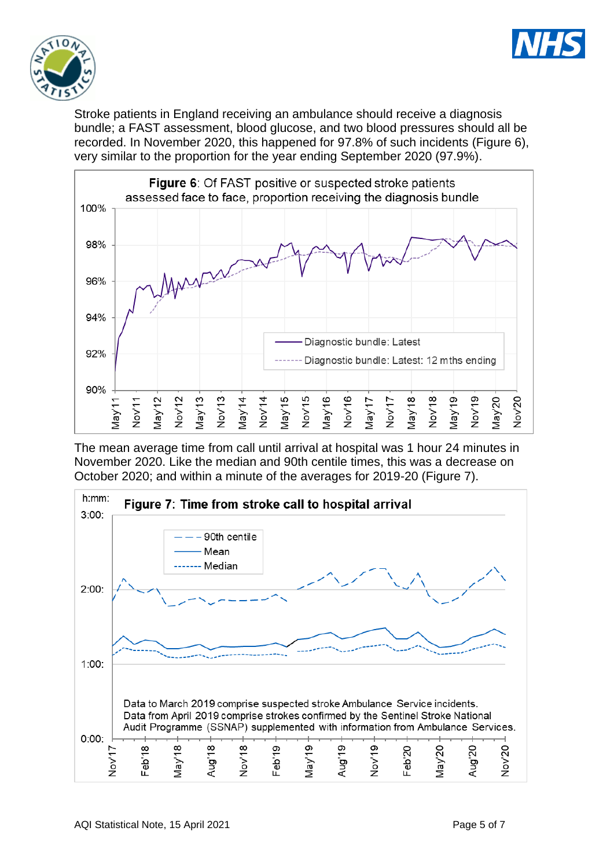



Stroke patients in England receiving an ambulance should receive a diagnosis bundle; a FAST assessment, blood glucose, and two blood pressures should all be recorded. In November 2020, this happened for 97.8% of such incidents (Figure 6), very similar to the proportion for the year ending September 2020 (97.9%).



The mean average time from call until arrival at hospital was 1 hour 24 minutes in November 2020. Like the median and 90th centile times, this was a decrease on October 2020; and within a minute of the averages for 2019-20 (Figure 7).

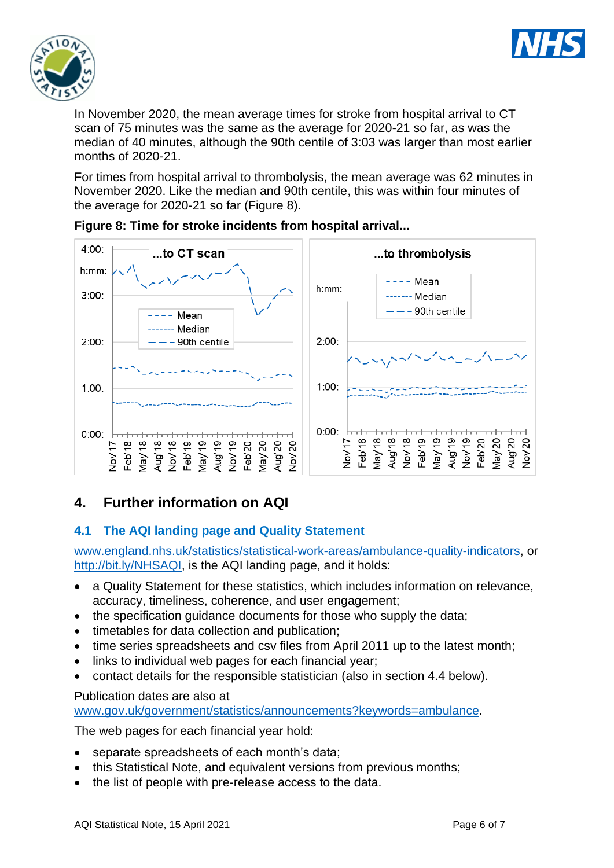



In November 2020, the mean average times for stroke from hospital arrival to CT scan of 75 minutes was the same as the average for 2020-21 so far, as was the median of 40 minutes, although the 90th centile of 3:03 was larger than most earlier months of 2020-21.

For times from hospital arrival to thrombolysis, the mean average was 62 minutes in November 2020. Like the median and 90th centile, this was within four minutes of the average for 2020-21 so far (Figure 8).





## **4. Further information on AQI**

## **4.1 The AQI landing page and Quality Statement**

[www.england.nhs.uk/statistics/statistical-work-areas/ambulance-quality-indicators,](http://www.england.nhs.uk/statistics/statistical-work-areas/ambulance-quality-indicators) or [http://bit.ly/NHSAQI,](http://bit.ly/NHSAQI) is the AQI landing page, and it holds:

- a Quality Statement for these statistics, which includes information on relevance, accuracy, timeliness, coherence, and user engagement;
- the specification quidance documents for those who supply the data;
- timetables for data collection and publication;
- time series spreadsheets and csv files from April 2011 up to the latest month;
- links to individual web pages for each financial year;
- contact details for the responsible statistician (also in section 4.4 below).

#### Publication dates are also at

[www.gov.uk/government/statistics/announcements?keywords=ambulance.](http://www.gov.uk/government/statistics/announcements?keywords=ambulance)

The web pages for each financial year hold:

- separate spreadsheets of each month's data;
- this Statistical Note, and equivalent versions from previous months;
- the list of people with pre-release access to the data.